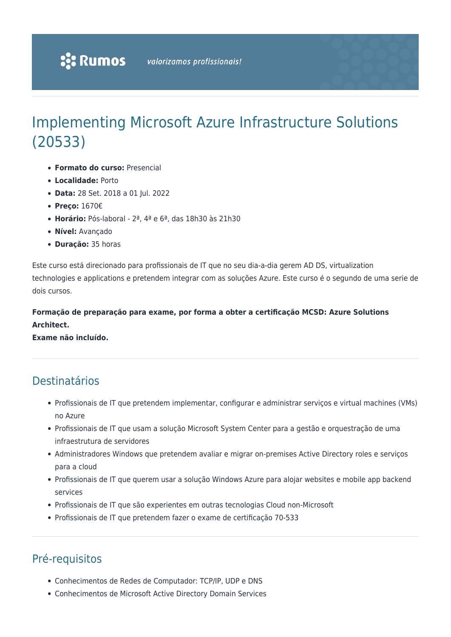# Implementing Microsoft Azure Infrastructure Solutions (20533)

- **Formato do curso:** Presencial
- **Localidade:** Porto
- **Data:** 28 Set. 2018 a 01 Jul. 2022
- **Preço:** 1670€
- **Horário:** Pós-laboral 2ª, 4ª e 6ª, das 18h30 às 21h30
- **Nível:** Avançado
- **Duração:** 35 horas

Este curso está direcionado para profissionais de IT que no seu dia-a-dia gerem AD DS, virtualization technologies e applications e pretendem integrar com as soluções Azure. Este curso é o segundo de uma serie de dois cursos.

### **Formação de preparação para exame, por forma a obter a certificação MCSD: Azure Solutions Architect.**

**Exame não incluído.**

## Destinatários

- Profissionais de IT que pretendem implementar, configurar e administrar serviços e virtual machines (VMs) no Azure
- Profissionais de IT que usam a solução Microsoft System Center para a gestão e orquestração de uma infraestrutura de servidores
- Administradores Windows que pretendem avaliar e migrar on-premises Active Directory roles e serviços para a cloud
- Profissionais de IT que querem usar a solução Windows Azure para alojar websites e mobile app backend services
- Profissionais de IT que são experientes em outras tecnologias Cloud non-Microsoft
- Profissionais de IT que pretendem fazer o exame de certificação 70-533

# Pré-requisitos

- Conhecimentos de Redes de Computador: TCP/IP, UDP e DNS
- Conhecimentos de Microsoft Active Directory Domain Services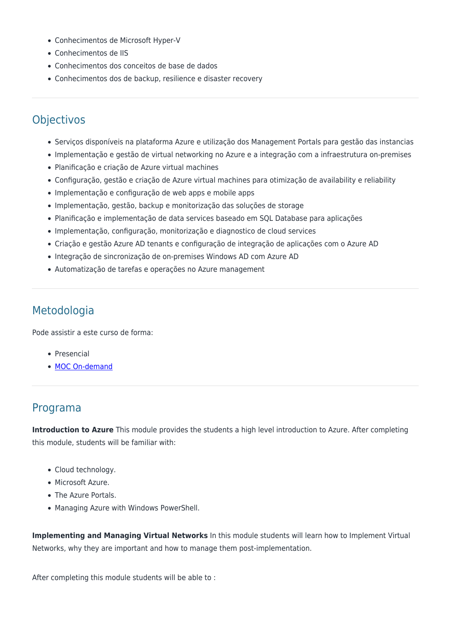- Conhecimentos de Microsoft Hyper-V
- Conhecimentos de IIS
- Conhecimentos dos conceitos de base de dados
- Conhecimentos dos de backup, resilience e disaster recovery

### **Objectivos**

- Serviços disponíveis na plataforma Azure e utilização dos Management Portals para gestão das instancias
- Implementação e gestão de virtual networking no Azure e a integração com a infraestrutura on-premises
- Planificação e criação de Azure virtual machines
- Configuração, gestão e criação de Azure virtual machines para otimização de availability e reliability
- Implementação e configuração de web apps e mobile apps
- Implementação, gestão, backup e monitorização das soluções de storage
- Planificação e implementação de data services baseado em SQL Database para aplicações
- Implementação, configuração, monitorização e diagnostico de cloud services
- Criação e gestão Azure AD tenants e configuração de integração de aplicações com o Azure AD
- Integração de sincronização de on-premises Windows AD com Azure AD
- Automatização de tarefas e operações no Azure management

### Metodologia

Pode assistir a este curso de forma:

- Presencial
- [MOC On-demand](https://www.rumos.pt/formacao/moc-on-demand/)

### Programa

**Introduction to Azure** This module provides the students a high level introduction to Azure. After completing this module, students will be familiar with:

- Cloud technology.
- Microsoft Azure.
- The Azure Portals.
- Managing Azure with Windows PowerShell.

**Implementing and Managing Virtual Networks** In this module students will learn how to Implement Virtual Networks, why they are important and how to manage them post-implementation.

After completing this module students will be able to :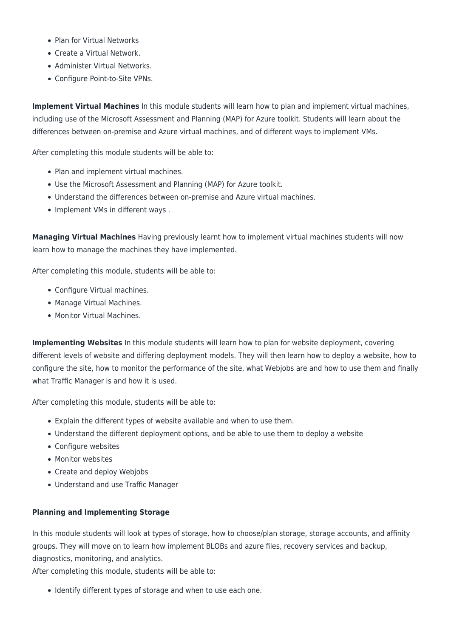- Plan for Virtual Networks
- Create a Virtual Network.
- Administer Virtual Networks.
- Configure Point-to-Site VPNs.

**Implement Virtual Machines** In this module students will learn how to plan and implement virtual machines, including use of the Microsoft Assessment and Planning (MAP) for Azure toolkit. Students will learn about the differences between on-premise and Azure virtual machines, and of different ways to implement VMs.

After completing this module students will be able to:

- Plan and implement virtual machines.
- Use the Microsoft Assessment and Planning (MAP) for Azure toolkit.
- Understand the differences between on-premise and Azure virtual machines.
- Implement VMs in different ways.

**Managing Virtual Machines** Having previously learnt how to implement virtual machines students will now learn how to manage the machines they have implemented.

After completing this module, students will be able to:

- Configure Virtual machines.
- Manage Virtual Machines.
- Monitor Virtual Machines.

**Implementing Websites** In this module students will learn how to plan for website deployment, covering different levels of website and differing deployment models. They will then learn how to deploy a website, how to configure the site, how to monitor the performance of the site, what Webjobs are and how to use them and finally what Traffic Manager is and how it is used.

After completing this module, students will be able to:

- Explain the different types of website available and when to use them.
- Understand the different deployment options, and be able to use them to deploy a website
- Configure websites
- Monitor websites
- Create and deploy Webjobs
- Understand and use Traffic Manager

#### **Planning and Implementing Storage**

In this module students will look at types of storage, how to choose/plan storage, storage accounts, and affinity groups. They will move on to learn how implement BLOBs and azure files, recovery services and backup, diagnostics, monitoring, and analytics.

After completing this module, students will be able to:

• Identify different types of storage and when to use each one.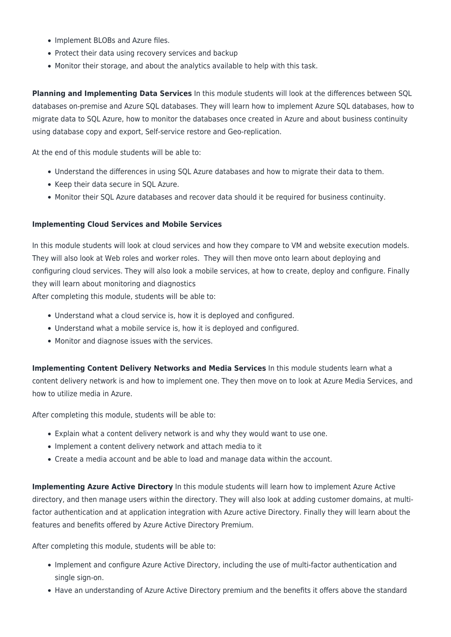- Implement BLOBs and Azure files.
- Protect their data using recovery services and backup
- Monitor their storage, and about the analytics available to help with this task.

**Planning and Implementing Data Services** In this module students will look at the differences between SQL databases on-premise and Azure SQL databases. They will learn how to implement Azure SQL databases, how to migrate data to SQL Azure, how to monitor the databases once created in Azure and about business continuity using database copy and export, Self-service restore and Geo-replication.

At the end of this module students will be able to:

- Understand the differences in using SQL Azure databases and how to migrate their data to them.
- Keep their data secure in SQL Azure.
- Monitor their SQL Azure databases and recover data should it be required for business continuity.

#### **Implementing Cloud Services and Mobile Services**

In this module students will look at cloud services and how they compare to VM and website execution models. They will also look at Web roles and worker roles. They will then move onto learn about deploying and configuring cloud services. They will also look a mobile services, at how to create, deploy and configure. Finally they will learn about monitoring and diagnostics

After completing this module, students will be able to:

- Understand what a cloud service is, how it is deployed and configured.
- Understand what a mobile service is, how it is deployed and configured.
- Monitor and diagnose issues with the services.

**Implementing Content Delivery Networks and Media Services** In this module students learn what a content delivery network is and how to implement one. They then move on to look at Azure Media Services, and how to utilize media in Azure.

After completing this module, students will be able to:

- Explain what a content delivery network is and why they would want to use one.
- Implement a content delivery network and attach media to it
- Create a media account and be able to load and manage data within the account.

**Implementing Azure Active Directory** In this module students will learn how to implement Azure Active directory, and then manage users within the directory. They will also look at adding customer domains, at multifactor authentication and at application integration with Azure active Directory. Finally they will learn about the features and benefits offered by Azure Active Directory Premium.

After completing this module, students will be able to:

- Implement and configure Azure Active Directory, including the use of multi-factor authentication and single sign-on.
- Have an understanding of Azure Active Directory premium and the benefits it offers above the standard